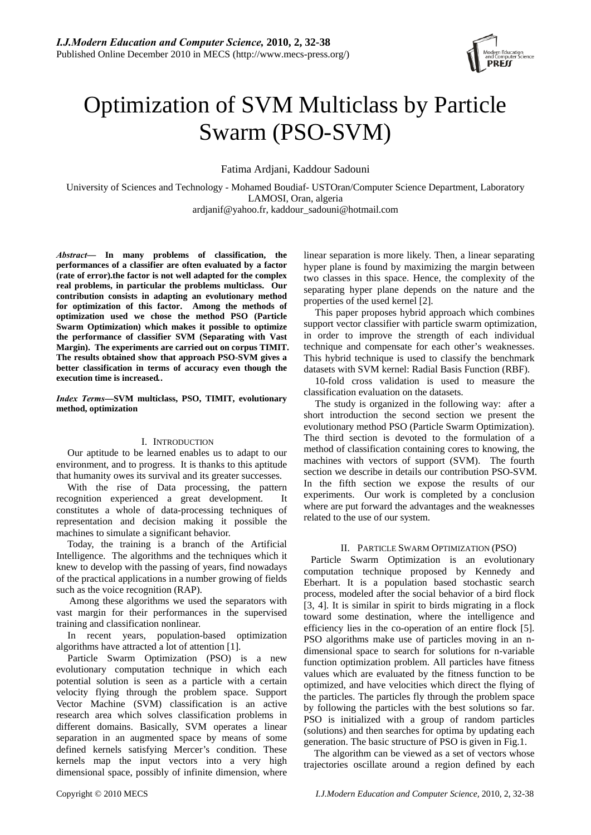

# Optimization of SVM Multiclass by Particle Swarm (PSO-SVM)

Fatima Ardjani, Kaddour Sadouni

University of Sciences and Technology - Mohamed Boudiaf- USTOran/Computer Science Department, Laboratory LAMOSI, Oran, algeria ardjanif@yahoo.fr, kaddour\_sadouni@hotmail.com

*Abstract***— In many problems of classification, the performances of a classifier are often evaluated by a factor (rate of error).the factor is not well adapted for the complex real problems, in particular the problems multiclass. Our contribution consists in adapting an evolutionary method for optimization of this factor. Among the methods of optimization used we chose the method PSO (Particle Swarm Optimization) which makes it possible to optimize the performance of classifier SVM (Separating with Vast Margin). The experiments are carried out on corpus TIMIT. The results obtained show that approach PSO-SVM gives a better classification in terms of accuracy even though the execution time is increased***.***.** 

*Index Terms***—SVM multiclass, PSO, TIMIT, evolutionary method, optimization** 

# I. INTRODUCTION

Our aptitude to be learned enables us to adapt to our environment, and to progress. It is thanks to this aptitude that humanity owes its survival and its greater successes.

With the rise of Data processing, the pattern recognition experienced a great development. It constitutes a whole of data-processing techniques of representation and decision making it possible the machines to simulate a significant behavior.

Today, the training is a branch of the Artificial Intelligence. The algorithms and the techniques which it knew to develop with the passing of years, find nowadays of the practical applications in a number growing of fields such as the voice recognition (RAP).

 Among these algorithms we used the separators with vast margin for their performances in the supervised training and classification nonlinear.

In recent years, population-based optimization algorithms have attracted a lot of attention [1].

Particle Swarm Optimization (PSO) is a new evolutionary computation technique in which each potential solution is seen as a particle with a certain velocity flying through the problem space. Support Vector Machine (SVM) classification is an active research area which solves classification problems in different domains. Basically, SVM operates a linear separation in an augmented space by means of some defined kernels satisfying Mercer's condition. These kernels map the input vectors into a very high dimensional space, possibly of infinite dimension, where linear separation is more likely. Then, a linear separating hyper plane is found by maximizing the margin between two classes in this space. Hence, the complexity of the separating hyper plane depends on the nature and the properties of the used kernel [2].

This paper proposes hybrid approach which combines support vector classifier with particle swarm optimization, in order to improve the strength of each individual technique and compensate for each other's weaknesses. This hybrid technique is used to classify the benchmark datasets with SVM kernel: Radial Basis Function (RBF).

10-fold cross validation is used to measure the classification evaluation on the datasets.

The study is organized in the following way: after a short introduction the second section we present the evolutionary method PSO (Particle Swarm Optimization). The third section is devoted to the formulation of a method of classification containing cores to knowing, the machines with vectors of support (SVM). The fourth section we describe in details our contribution PSO-SVM. In the fifth section we expose the results of our experiments. Our work is completed by a conclusion where are put forward the advantages and the weaknesses related to the use of our system.

# II. PARTICLE SWARM OPTIMIZATION (PSO)

Particle Swarm Optimization is an evolutionary computation technique proposed by Kennedy and Eberhart. It is a population based stochastic search process, modeled after the social behavior of a bird flock [3, 4]. It is similar in spirit to birds migrating in a flock toward some destination, where the intelligence and efficiency lies in the co-operation of an entire flock [5]. PSO algorithms make use of particles moving in an ndimensional space to search for solutions for n-variable function optimization problem. All particles have fitness values which are evaluated by the fitness function to be optimized, and have velocities which direct the flying of the particles. The particles fly through the problem space by following the particles with the best solutions so far. PSO is initialized with a group of random particles (solutions) and then searches for optima by updating each generation. The basic structure of PSO is given in Fig.1.

The algorithm can be viewed as a set of vectors whose trajectories oscillate around a region defined by each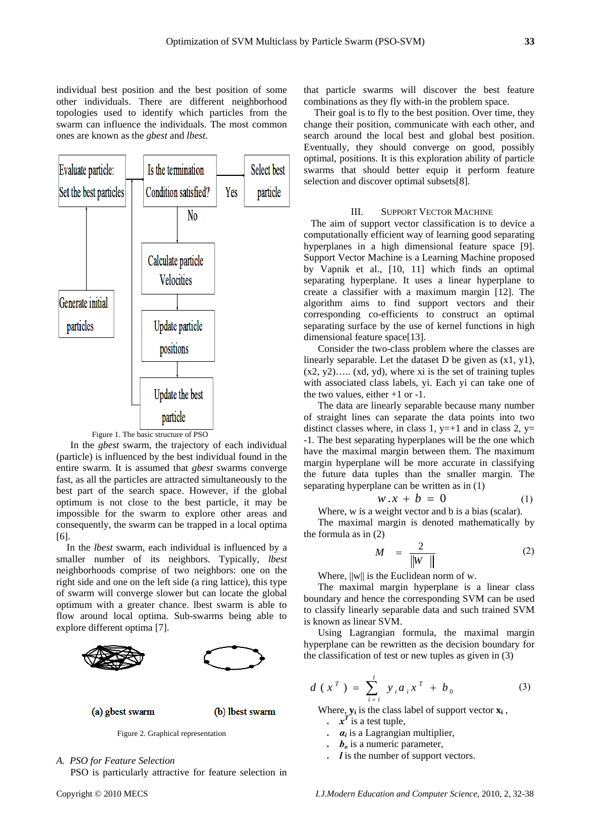individual best position and the best position of some other individuals. There are different neighborhood topologies used to identify which particles from the swarm can influence the individuals. The most common ones are known as the *gbest* and *lbest*.



Figure 1. The basic structure of PSO

In the *gbest* swarm, the trajectory of each individual (particle) is influenced by the best individual found in the entire swarm. It is assumed that *gbest* swarms converge fast, as all the particles are attracted simultaneously to the best part of the search space. However, if the global optimum is not close to the best particle, it may be impossible for the swarm to explore other areas and consequently, the swarm can be trapped in a local optima [6].

In the *lbest* swarm, each individual is influenced by a smaller number of its neighbors. Typically, *lbest* neighborhoods comprise of two neighbors: one on the right side and one on the left side (a ring lattice), this type of swarm will converge slower but can locate the global optimum with a greater chance. lbest swarm is able to flow around local optima. Sub-swarms being able to explore different optima [7].



(a) gbest swarm

(b) lbest swarm

Figure 2. Graphical representation

*A. PSO for Feature Selection* 

PSO is particularly attractive for feature selection in

that particle swarms will discover the best feature combinations as they fly with-in the problem space.

Their goal is to fly to the best position. Over time, they change their position, communicate with each other, and search around the local best and global best position. Eventually, they should converge on good, possibly optimal, positions. It is this exploration ability of particle swarms that should better equip it perform feature selection and discover optimal subsets[8].

## III. SUPPORT VECTOR MACHINE

The aim of support vector classification is to device a computationally efficient way of learning good separating hyperplanes in a high dimensional feature space [9]. Support Vector Machine is a Learning Machine proposed by Vapnik et al., [10, 11] which finds an optimal separating hyperplane. It uses a linear hyperplane to create a classifier with a maximum margin [12]. The algorithm aims to find support vectors and their corresponding co-efficients to construct an optimal separating surface by the use of kernel functions in high dimensional feature space[13].

Consider the two-class problem where the classes are linearly separable. Let the dataset D be given as (x1, y1),  $(x2, y2)$ …..  $(xd, yd)$ , where xi is the set of training tuples with associated class labels, yi. Each yi can take one of the two values, either  $+1$  or  $-1$ .

The data are linearly separable because many number of straight lines can separate the data points into two distinct classes where, in class 1,  $y=+1$  and in class 2,  $y=$ -1. The best separating hyperplanes will be the one which have the maximal margin between them. The maximum margin hyperplane will be more accurate in classifying the future data tuples than the smaller margin. The separating hyperplane can be written as in (1)

$$
w \cdot x + b = 0 \tag{1}
$$

Where, w is a weight vector and b is a bias (scalar).

The maximal margin is denoted mathematically by the formula as in (2)

$$
M = \frac{2}{\|W\|} \tag{2}
$$

Where,  $\|w\|$  is the Euclidean norm of w.

The maximal margin hyperplane is a linear class boundary and hence the corresponding SVM can be used to classify linearly separable data and such trained SVM is known as linear SVM.

Using Lagrangian formula, the maximal margin hyperplane can be rewritten as the decision boundary for the classification of test or new tuples as given in (3)

$$
d(x^T) = \sum_{i=1}^{l} y_i a_i x^T + b_0
$$
 (3)

Where,  $\mathbf{y}_i$  is the class label of support vector  $\mathbf{x}_i$ ,

- $\boldsymbol{x}^T$  is a test tuple,
- $\alpha_i$  is a Lagrangian multiplier,
- **is a numeric parameter,**
- . *l* is the number of support vectors.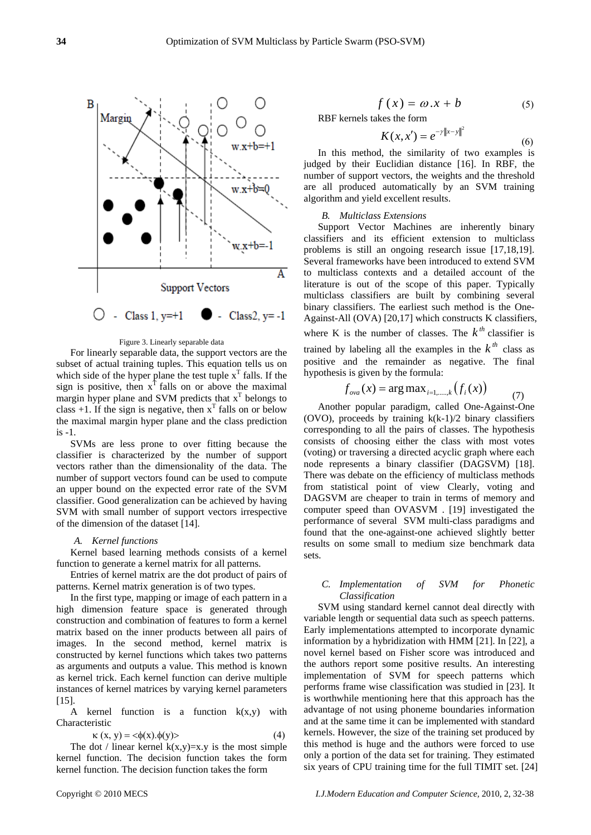

Figure 3. Linearly separable data

For linearly separable data, the support vectors are the subset of actual training tuples. This equation tells us on which side of the hyper plane the test tuple  $x<sup>T</sup>$  falls. If the sign is positive, then  $x<sup>T</sup>$  falls on or above the maximal margin hyper plane and SVM predicts that  $x<sup>T</sup>$  belongs to class  $+1$ . If the sign is negative, then  $x^T$  falls on or below the maximal margin hyper plane and the class prediction is -1.

SVMs are less prone to over fitting because the classifier is characterized by the number of support vectors rather than the dimensionality of the data. The number of support vectors found can be used to compute an upper bound on the expected error rate of the SVM classifier. Good generalization can be achieved by having SVM with small number of support vectors irrespective of the dimension of the dataset [14].

### *A. Kernel functions*

Kernel based learning methods consists of a kernel function to generate a kernel matrix for all patterns.

Entries of kernel matrix are the dot product of pairs of patterns. Kernel matrix generation is of two types.

In the first type, mapping or image of each pattern in a high dimension feature space is generated through construction and combination of features to form a kernel matrix based on the inner products between all pairs of images. In the second method, kernel matrix is constructed by kernel functions which takes two patterns as arguments and outputs a value. This method is known as kernel trick. Each kernel function can derive multiple instances of kernel matrices by varying kernel parameters [15].

A kernel function is a function  $k(x,y)$  with Characteristic

$$
\kappa(x, y) = \langle \phi(x), \phi(y) \rangle \tag{4}
$$

The dot / linear kernel  $k(x,y)=x.y$  is the most simple kernel function. The decision function takes the form kernel function. The decision function takes the form

RBF kernels takes the form

$$
K(x, x') = e^{-\gamma \|x - y\|^2}
$$
 (6)

In this method, the similarity of two examples is judged by their Euclidian distance [16]. In RBF, the number of support vectors, the weights and the threshold are all produced automatically by an SVM training algorithm and yield excellent results.

## *B. Multiclass Extensions*

Support Vector Machines are inherently binary classifiers and its efficient extension to multiclass problems is still an ongoing research issue [17,18,19]. Several frameworks have been introduced to extend SVM to multiclass contexts and a detailed account of the literature is out of the scope of this paper. Typically multiclass classifiers are built by combining several binary classifiers. The earliest such method is the One-Against-All (OVA) [20,17] which constructs K classifiers, where K is the number of classes. The  $k^{th}$  classifier is trained by labeling all the examples in the  $k^{th}$  class as positive and the remainder as negative. The final hypothesis is given by the formula:

$$
f_{ova}(x) = \arg \max_{i=1,...,k} (f_i(x))
$$
 (7)

Another popular paradigm, called One-Against-One (OVO), proceeds by training  $k(k-1)/2$  binary classifiers corresponding to all the pairs of classes. The hypothesis consists of choosing either the class with most votes (voting) or traversing a directed acyclic graph where each node represents a binary classifier (DAGSVM) [18]. There was debate on the efficiency of multiclass methods from statistical point of view Clearly, voting and DAGSVM are cheaper to train in terms of memory and computer speed than OVASVM . [19] investigated the performance of several SVM multi-class paradigms and found that the one-against-one achieved slightly better results on some small to medium size benchmark data sets.

## *C. Implementation of SVM for Phonetic Classification*

SVM using standard kernel cannot deal directly with variable length or sequential data such as speech patterns. Early implementations attempted to incorporate dynamic information by a hybridization with HMM [21]. In [22], a novel kernel based on Fisher score was introduced and the authors report some positive results. An interesting implementation of SVM for speech patterns which performs frame wise classification was studied in [23]. It is worthwhile mentioning here that this approach has the advantage of not using phoneme boundaries information and at the same time it can be implemented with standard kernels. However, the size of the training set produced by this method is huge and the authors were forced to use only a portion of the data set for training. They estimated six years of CPU training time for the full TIMIT set. [24]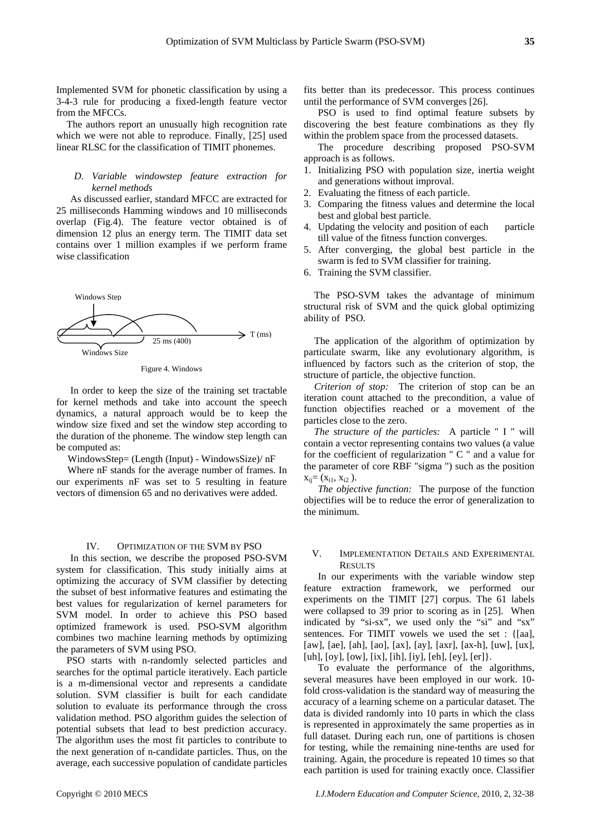Implemented SVM for phonetic classification by using a 3-4-3 rule for producing a fixed-length feature vector from the MFCCs.

The authors report an unusually high recognition rate which we were not able to reproduce. Finally, [25] used linear RLSC for the classification of TIMIT phonemes.

## *D. Variable windowstep feature extraction for kernel methods*

As discussed earlier, standard MFCC are extracted for 25 milliseconds Hamming windows and 10 milliseconds overlap (Fig.4). The feature vector obtained is of dimension 12 plus an energy term. The TIMIT data set contains over 1 million examples if we perform frame wise classification



Figure 4. Windows

In order to keep the size of the training set tractable for kernel methods and take into account the speech dynamics, a natural approach would be to keep the window size fixed and set the window step according to the duration of the phoneme. The window step length can be computed as:

WindowsStep= (Length (Input) - WindowsSize)/ nF

Where nF stands for the average number of frames. In our experiments nF was set to 5 resulting in feature vectors of dimension 65 and no derivatives were added.

## IV. OPTIMIZATION OF THE SVM BY PSO

In this section, we describe the proposed PSO-SVM system for classification. This study initially aims at optimizing the accuracy of SVM classifier by detecting the subset of best informative features and estimating the best values for regularization of kernel parameters for SVM model. In order to achieve this PSO based optimized framework is used. PSO-SVM algorithm combines two machine learning methods by optimizing the parameters of SVM using PSO.

PSO starts with n-randomly selected particles and searches for the optimal particle iteratively. Each particle is a m-dimensional vector and represents a candidate solution. SVM classifier is built for each candidate solution to evaluate its performance through the cross validation method. PSO algorithm guides the selection of potential subsets that lead to best prediction accuracy. The algorithm uses the most fit particles to contribute to the next generation of n-candidate particles. Thus, on the average, each successive population of candidate particles fits better than its predecessor. This process continues until the performance of SVM converges [26].

PSO is used to find optimal feature subsets by discovering the best feature combinations as they fly within the problem space from the processed datasets.

The procedure describing proposed PSO-SVM approach is as follows.

- 1. Initializing PSO with population size, inertia weight and generations without improval.
- 2. Evaluating the fitness of each particle.
- 3. Comparing the fitness values and determine the local best and global best particle.
- 4. Updating the velocity and position of each particle till value of the fitness function converges.
- 5. After converging, the global best particle in the swarm is fed to SVM classifier for training.
- 6. Training the SVM classifier.

The PSO-SVM takes the advantage of minimum structural risk of SVM and the quick global optimizing ability of PSO.

The application of the algorithm of optimization by particulate swarm, like any evolutionary algorithm, is influenced by factors such as the criterion of stop, the structure of particle, the objective function.

*Criterion of stop:* The criterion of stop can be an iteration count attached to the precondition, a value of function objectifies reached or a movement of the particles close to the zero.

*The structure of the particles:* A particle " I " will contain a vector representing contains two values (a value for the coefficient of regularization " C " and a value for the parameter of core RBF "sigma ") such as the position  $x_{ij}=(x_{i1}, x_{i2}).$ 

*The objective function:* The purpose of the function objectifies will be to reduce the error of generalization to the minimum.

## V. IMPLEMENTATION DETAILS AND EXPERIMENTAL **RESULTS**

In our experiments with the variable window step feature extraction framework, we performed our experiments on the TIMIT [27] corpus. The 61 labels were collapsed to 39 prior to scoring as in [25]. When indicated by "si-sx", we used only the "si" and "sx" sentences. For TIMIT vowels we used the set : {[aa], [aw], [ae], [ah], [ao], [ax], [ay], [axr], [ax-h], [uw], [ux],  $[uh], [oy], [ow], [ix], [ih], [iy], [eh], [ey], [er]$ .

To evaluate the performance of the algorithms, several measures have been employed in our work. 10 fold cross-validation is the standard way of measuring the accuracy of a learning scheme on a particular dataset. The data is divided randomly into 10 parts in which the class is represented in approximately the same properties as in full dataset. During each run, one of partitions is chosen for testing, while the remaining nine-tenths are used for training. Again, the procedure is repeated 10 times so that each partition is used for training exactly once. Classifier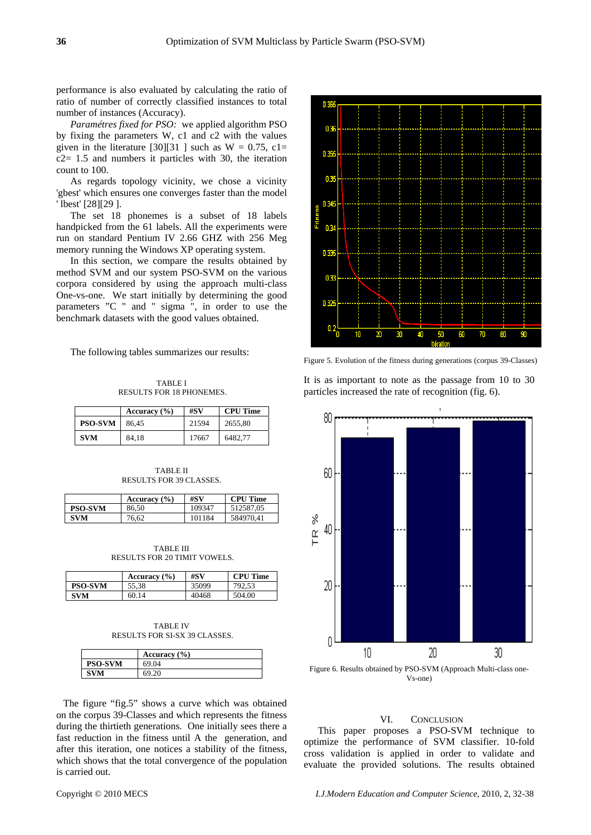performance is also evaluated by calculating the ratio of ratio of number of correctly classified instances to total number of instances (Accuracy).

*Paramétres fixed for PSO:* we applied algorithm PSO by fixing the parameters W, c1 and c2 with the values given in the literature [30][31 ] such as  $W = 0.75$ , c1=  $c2= 1.5$  and numbers it particles with 30, the iteration count to 100.

As regards topology vicinity, we chose a vicinity 'gbest' which ensures one converges faster than the model ' lbest' [28][29 ].

The set 18 phonemes is a subset of 18 labels handpicked from the 61 labels. All the experiments were run on standard Pentium IV 2.66 GHZ with 256 Meg memory running the Windows XP operating system.

In this section, we compare the results obtained by method SVM and our system PSO-SVM on the various corpora considered by using the approach multi-class One-vs-one. We start initially by determining the good parameters "C " and " sigma ", in order to use the benchmark datasets with the good values obtained.

The following tables summarizes our results:

TABLE I RESULTS FOR 18 PHONEMES.

|                | Accuracy $(\% )$ | #SV   | <b>CPU Time</b> |
|----------------|------------------|-------|-----------------|
| <b>PSO-SVM</b> | 86.45            | 21594 | 2655.80         |
| <b>SVM</b>     | 84.18            | 17667 | 6482.77         |

TABLE II RESULTS FOR 39 CLASSES.

|                | Accuracy $(\% )$ | #SV    | <b>CPU Time</b> |
|----------------|------------------|--------|-----------------|
| <b>PSO-SVM</b> | 86.50            | 109347 | 512587.05       |
| <b>SVM</b>     | 76.62            | 101184 | 584970,41       |

TABLE III RESULTS FOR 20 TIMIT VOWELS.

|         | Accuracy $(\% )$ | #SV   | <b>CPU Time</b> |
|---------|------------------|-------|-----------------|
| PSO-SVM | 55.38            | 35099 | 792.53          |
| SVM     | 60.14            | 40468 | 504.00          |
|         |                  |       |                 |

TABLE IV RESULTS FOR SI-SX 39 CLASSES.

|                | Accuracy $(\% )$ |
|----------------|------------------|
| <b>PSO-SVM</b> | 69.04            |
| SVM            | 69.20            |

The figure "fig.5" shows a curve which was obtained on the corpus 39-Classes and which represents the fitness during the thirtieth generations. One initially sees there a fast reduction in the fitness until A the generation, and after this iteration, one notices a stability of the fitness, which shows that the total convergence of the population is carried out.



Figure 5. Evolution of the fitness during generations (corpus 39-Classes)

It is as important to note as the passage from 10 to 30 particles increased the rate of recognition (fig. 6).



Vs-one)

# VI. CONCLUSION

This paper proposes a PSO-SVM technique to optimize the performance of SVM classifier. 10-fold cross validation is applied in order to validate and evaluate the provided solutions. The results obtained

Copyright © 2010 MECS *I.J.Modern Education and Computer Science,* 2010, 2, 32-38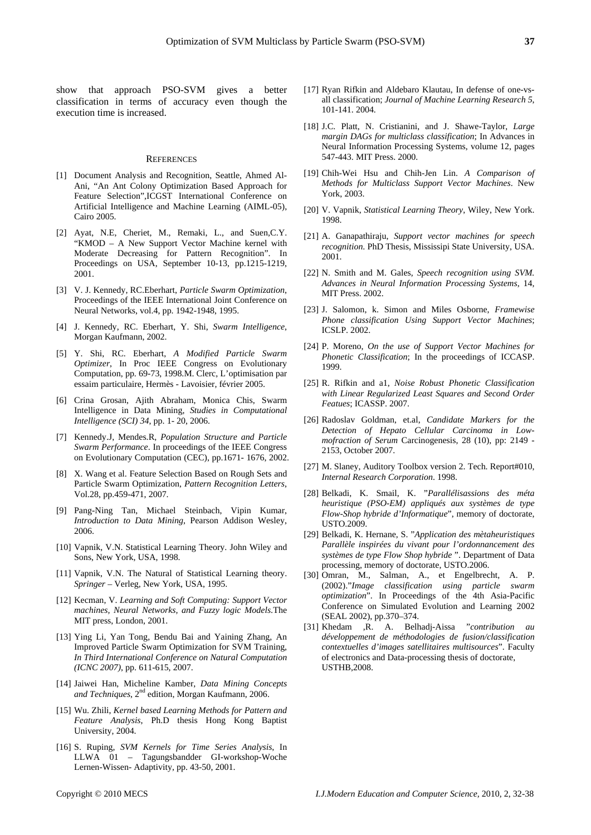show that approach PSO-SVM gives a better classification in terms of accuracy even though the execution time is increased.

#### **REFERENCES**

- [1] Document Analysis and Recognition, Seattle, Ahmed Al-Ani, "An Ant Colony Optimization Based Approach for Feature Selection",ICGST International Conference on Artificial Intelligence and Machine Learning (AIML-05), Cairo 2005.
- [2] Ayat, N.E, Cheriet, M., Remaki, L., and Suen,C.Y. "KMOD – A New Support Vector Machine kernel with Moderate Decreasing for Pattern Recognition". In Proceedings on USA, September 10-13, pp.1215-1219, 2001.
- [3] V. J. Kennedy, RC.Eberhart, *Particle Swarm Optimization*, Proceedings of the IEEE International Joint Conference on Neural Networks, vol.4, pp. 1942-1948, 1995.
- [4] J. Kennedy, RC. Eberhart, Y. Shi, *Swarm Intelligence*, Morgan Kaufmann, 2002.
- [5] Y. Shi, RC. Eberhart, *A Modified Particle Swarm Optimizer*, In Proc IEEE Congress on Evolutionary Computation, pp. 69-73, 1998.M. Clerc, L'optimisation par essaim particulaire, Hermès - Lavoisier, février 2005.
- [6] Crina Grosan, Ajith Abraham, Monica Chis, Swarm Intelligence in Data Mining, *Studies in Computational Intelligence (SCI) 34*, pp. 1- 20, 2006.
- [7] Kennedy.J, Mendes.R, *Population Structure and Particle Swarm Performance*. In proceedings of the IEEE Congress on Evolutionary Computation (CEC), pp.1671- 1676, 2002.
- [8] X. Wang et al. Feature Selection Based on Rough Sets and Particle Swarm Optimization, *Pattern Recognition Letters*, Vol.28, pp.459-471, 2007.
- [9] Pang-Ning Tan, Michael Steinbach, Vipin Kumar, *Introduction to Data Mining*, Pearson Addison Wesley, 2006.
- [10] Vapnik, V.N. Statistical Learning Theory. John Wiley and Sons, New York, USA, 1998.
- [11] Vapnik, V.N. The Natural of Statistical Learning theory. *Springer* – Verleg, New York, USA, 1995.
- [12] Kecman, V. *Learning and Soft Computing: Support Vector machines, Neural Networks, and Fuzzy logic Models*.The MIT press, London, 2001.
- [13] Ying Li, Yan Tong, Bendu Bai and Yaining Zhang, An Improved Particle Swarm Optimization for SVM Training, *In Third International Conference on Natural Computation (ICNC 2007)*, pp. 611-615, 2007.
- [14] Jaiwei Han, Micheline Kamber, *Data Mining Concepts and Techniques*, 2nd edition, Morgan Kaufmann, 2006.
- [15] Wu. Zhili, *Kernel based Learning Methods for Pattern and Feature Analysis*, Ph.D thesis Hong Kong Baptist University, 2004.
- [16] S. Ruping, *SVM Kernels for Time Series Analysis*, In LLWA 01 – Tagungsbandder GI-workshop-Woche Lernen-Wissen- Adaptivity, pp. 43-50, 2001.
- [17] Ryan Rifkin and Aldebaro Klautau, In defense of one-vsall classification; *Journal of Machine Learning Research 5*, 101-141. 2004.
- [18] J.C. Platt, N. Cristianini, and J. Shawe-Taylor, *Large margin DAGs for multiclass classification*; In Advances in Neural Information Processing Systems, volume 12, pages 547-443. MIT Press. 2000.
- [19] Chih-Wei Hsu and Chih-Jen Lin. *A Comparison of Methods for Multiclass Support Vector Machines*. New York, 2003.
- [20] V. Vapnik, *Statistical Learning Theory*, Wiley, New York. 1998.
- [21] A. Ganapathiraju, *Support vector machines for speech recognition*. PhD Thesis, Mississipi State University, USA. 2001.
- [22] N. Smith and M. Gales, *Speech recognition using SVM. Advances in Neural Information Processing Systems*, 14, MIT Press. 2002.
- [23] J. Salomon, k. Simon and Miles Osborne, *Framewise Phone classification Using Support Vector Machines*; ICSLP. 2002.
- [24] P. Moreno, *On the use of Support Vector Machines for Phonetic Classification*; In the proceedings of ICCASP. 1999.
- [25] R. Rifkin and a1, *Noise Robust Phonetic Classification with Linear Regularized Least Squares and Second Order Featues*; ICASSP. 2007.
- [26] Radoslav Goldman, et.al, *Candidate Markers for the Detection of Hepato Cellular Carcinoma in Lowmofraction of Serum* Carcinogenesis, 28 (10), pp: 2149 - 2153, October 2007.
- [27] M. Slaney, Auditory Toolbox version 2. Tech. Report#010, *Internal Research Corporation*. 1998.
- [28] Belkadi, K. Smail, K. "*Parallélisassions des méta heuristique (PSO-EM) appliqués aux systèmes de type Flow-Shop hybride d'Informatique*", memory of doctorate, USTO.2009.
- [29] Belkadi, K. Hernane, S. "*Application des mètaheuristiques Parallèle inspirées du vivant pour l'ordonnancement des systèmes de type Flow Shop hybride* ". Department of Data processing, memory of doctorate, USTO.2006.
- [30] Omran, M., Salman, A., et Engelbrecht, A. P. (2002)."*Image classification using particle swarm optimization*". In Proceedings of the 4th Asia-Pacific Conference on Simulated Evolution and Learning 2002 (SEAL 2002), pp.370–374.
- [31] Khedam ,R. A. Belhadj-Aissa "*contribution au développement de méthodologies de fusion/classification contextuelles d'images satellitaires multisources*". Faculty of electronics and Data-processing thesis of doctorate, USTHB,2008.